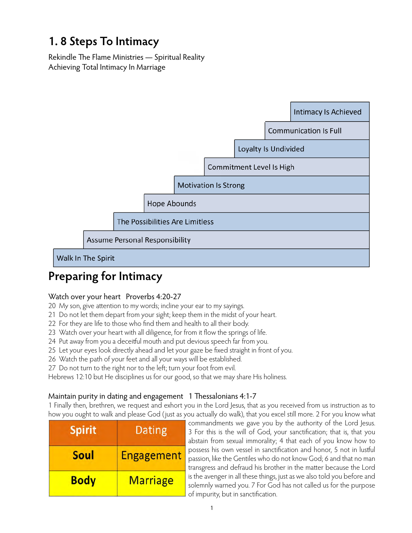# **1. 8 Steps To Intimacy**

Rekindle The Flame Ministries — Spiritual Reality Achieving Total Intimacy In Marriage



# **Preparing for Intimacy**

### Watch over your heart Proverbs 4:20-27

- 20 My son, give attention to my words; incline your ear to my sayings.
- 21 Do not let them depart from your sight; keep them in the midst of your heart.
- 22 For they are life to those who find them and health to all their body.
- 23 Watch over your heart with all diligence, for from it flow the springs of life.
- 24 Put away from you a deceitful mouth and put devious speech far from you.
- 25 Let your eyes look directly ahead and let your gaze be fixed straight in front of you.
- 26 Watch the path of your feet and all your ways will be established.
- 27 Do not turn to the right nor to the left; turn your foot from evil.

Hebrews 12:10 but He disciplines us for our good, so that we may share His holiness.

### Maintain purity in dating and engagement 1 Thessalonians 4:1-7

1 Finally then, brethren, we request and exhort you in the Lord Jesus, that as you received from us instruction as to how you ought to walk and please God ( just as you actually do walk), that you excel still more. 2 For you know what

| <b>Spirit</b> | Dating            |
|---------------|-------------------|
| Soul          | <b>Engagement</b> |
| <b>Body</b>   | <b>Marriage</b>   |

commandments we gave you by the authority of the Lord Jesus. 3 For this is the will of God, your sanctification; that is, that you abstain from sexual immorality; 4 that each of you know how to possess his own vessel in sanctification and honor, 5 not in lustful passion, like the Gentiles who do not know God; 6 and that no man transgress and defraud his brother in the matter because the Lord is the avenger in all these things, just as we also told you before and solemnly warned you. 7 For God has not called us for the purpose of impurity, but in sanctification.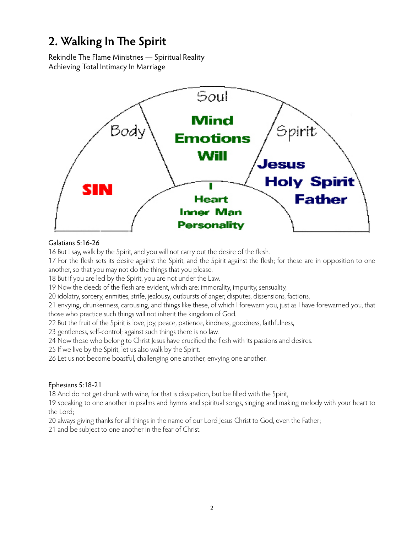## **2. Walking In The Spirit**

Rekindle The Flame Ministries — Spiritual Reality Achieving Total Intimacy In Marriage



#### Galatians 5:16-26

16 But I say, walk by the Spirit, and you will not carry out the desire of the flesh.

17 For the flesh sets its desire against the Spirit, and the Spirit against the flesh; for these are in opposition to one another, so that you may not do the things that you please.

18 But if you are led by the Spirit, you are not under the Law.

19 Now the deeds of the flesh are evident, which are: immorality, impurity, sensuality,

20 idolatry, sorcery, enmities, strife, jealousy, outbursts of anger, disputes, dissensions, factions,

21 envying, drunkenness, carousing, and things like these, of which I forewarn you, just as I have forewarned you, that those who practice such things will not inherit the kingdom of God.

22 But the fruit of the Spirit is love, joy, peace, patience, kindness, goodness, faithfulness,

23 gentleness, self-control; against such things there is no law.

24 Now those who belong to Christ Jesus have crucified the flesh with its passions and desires.

25 If we live by the Spirit, let us also walk by the Spirit.

26 Let us not become boastful, challenging one another, envying one another.

#### Ephesians 5:18-21

18 And do not get drunk with wine, for that is dissipation, but be filled with the Spirit,

19 speaking to one another in psalms and hymns and spiritual songs, singing and making melody with your heart to the Lord;

20 always giving thanks for all things in the name of our Lord Jesus Christ to God, even the Father;

21 and be subject to one another in the fear of Christ.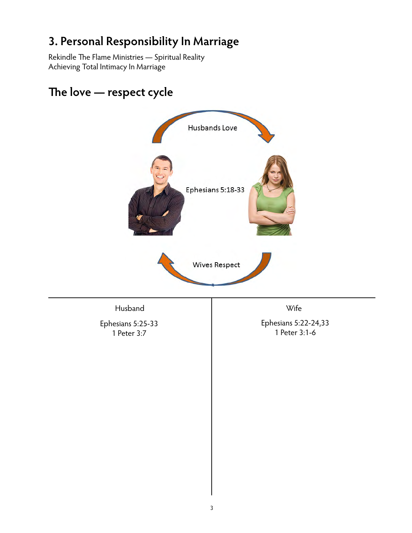# **3. Personal Responsibility In Marriage**

Rekindle The Flame Ministries — Spiritual Reality Achieving Total Intimacy In Marriage



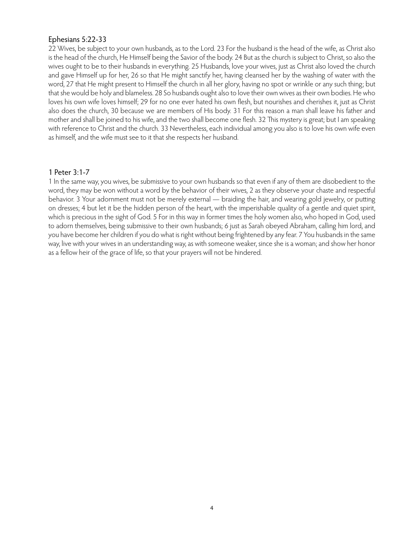#### Ephesians 5:22-33

22 Wives, be subject to your own husbands, as to the Lord. 23 For the husband is the head of the wife, as Christ also is the head of the church, He Himself being the Savior of the body. 24 But as the church is subject to Christ, so also the wives ought to be to their husbands in everything. 25 Husbands, love your wives, just as Christ also loved the church and gave Himself up for her, 26 so that He might sanctify her, having cleansed her by the washing of water with the word, 27 that He might present to Himself the church in all her glory, having no spot or wrinkle or any such thing; but that she would be holy and blameless. 28 So husbands ought also to love their own wives as their own bodies. He who loves his own wife loves himself; 29 for no one ever hated his own flesh, but nourishes and cherishes it, just as Christ also does the church, 30 because we are members of His body. 31 For this reason a man shall leave his father and mother and shall be joined to his wife, and the two shall become one flesh. 32 This mystery is great; but I am speaking with reference to Christ and the church. 33 Nevertheless, each individual among you also is to love his own wife even as himself, and the wife must see to it that she respects her husband.

#### 1 Peter 3:1-7

1 In the same way, you wives, be submissive to your own husbands so that even if any of them are disobedient to the word, they may be won without a word by the behavior of their wives, 2 as they observe your chaste and respectful behavior. 3 Your adornment must not be merely external — braiding the hair, and wearing gold jewelry, or putting on dresses; 4 but let it be the hidden person of the heart, with the imperishable quality of a gentle and quiet spirit, which is precious in the sight of God. 5 For in this way in former times the holy women also, who hoped in God, used to adorn themselves, being submissive to their own husbands; 6 just as Sarah obeyed Abraham, calling him lord, and you have become her children if you do what is right without being frightened by any fear. 7 You husbands in the same way, live with your wives in an understanding way, as with someone weaker, since she is a woman; and show her honor as a fellow heir of the grace of life, so that your prayers will not be hindered.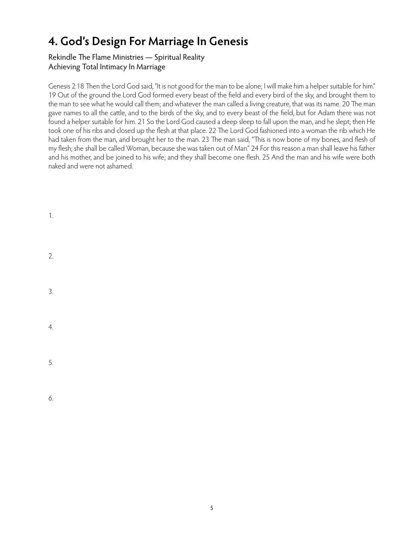# **4. God's Design For Marriage In Genesis**

#### Rekindle The Flame Ministries — Spiritual Reality Achieving Total Intimacy In Marriage

Genesis 2:18 Then the Lord God said, "It is not good for the man to be alone; I will make him a helper suitable for him." 19 Out of the ground the Lord God formed every beast of the field and every bird of the sky, and brought them to the man to see what he would call them; and whatever the man called a living creature, that was its name. 20 The man gave names to all the cattle, and to the birds of the sky, and to every beast of the field, but for Adam there was not found a helper suitable for him. 21 So the Lord God caused a deep sleep to fall upon the man, and he slept; then He took one of his ribs and closed up the flesh at that place. 22 The Lord God fashioned into a woman the rib which He had taken from the man, and brought her to the man. 23 The man said, "This is now bone of my bones, and flesh of my flesh; she shall be called Woman, because she was taken out of Man." 24 For this reason a man shall leave his father and his mother, and be joined to his wife; and they shall become one flesh. 25 And the man and his wife were both naked and were not ashamed.

1. 2. 3. 4. 5. 6.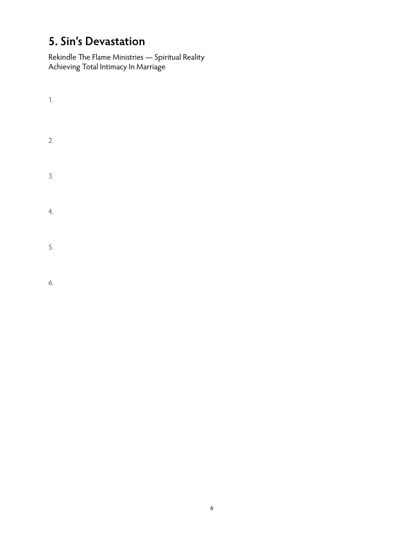# **5. Sin's Devastation**

Rekindle The Flame Ministries — Spiritual Reality Achieving Total Intimacy In Marriage

- 1. 2. 3. 4. 5.
- 6.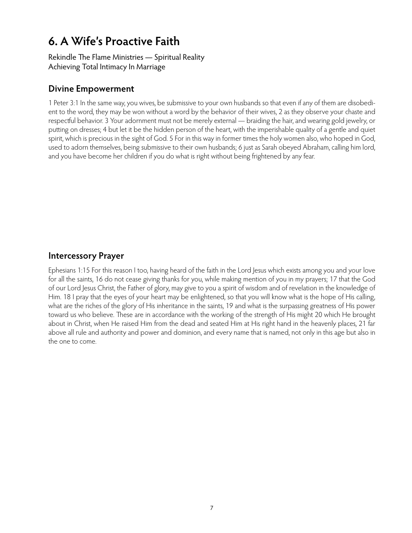### **6. A Wife's Proactive Faith**

Rekindle The Flame Ministries — Spiritual Reality Achieving Total Intimacy In Marriage

### **Divine Empowerment**

1 Peter 3:1 In the same way, you wives, be submissive to your own husbands so that even if any of them are disobedient to the word, they may be won without a word by the behavior of their wives, 2 as they observe your chaste and respectful behavior. 3 Your adornment must not be merely external — braiding the hair, and wearing gold jewelry, or putting on dresses; 4 but let it be the hidden person of the heart, with the imperishable quality of a gentle and quiet spirit, which is precious in the sight of God. 5 For in this way in former times the holy women also, who hoped in God, used to adorn themselves, being submissive to their own husbands; 6 just as Sarah obeyed Abraham, calling him lord, and you have become her children if you do what is right without being frightened by any fear.

### **Intercessory Prayer**

Ephesians 1:15 For this reason I too, having heard of the faith in the Lord Jesus which exists among you and your love for all the saints, 16 do not cease giving thanks for you, while making mention of you in my prayers; 17 that the God of our Lord Jesus Christ, the Father of glory, may give to you a spirit of wisdom and of revelation in the knowledge of Him. 18 I pray that the eyes of your heart may be enlightened, so that you will know what is the hope of His calling, what are the riches of the glory of His inheritance in the saints, 19 and what is the surpassing greatness of His power toward us who believe. These are in accordance with the working of the strength of His might 20 which He brought about in Christ, when He raised Him from the dead and seated Him at His right hand in the heavenly places, 21 far above all rule and authority and power and dominion, and every name that is named, not only in this age but also in the one to come.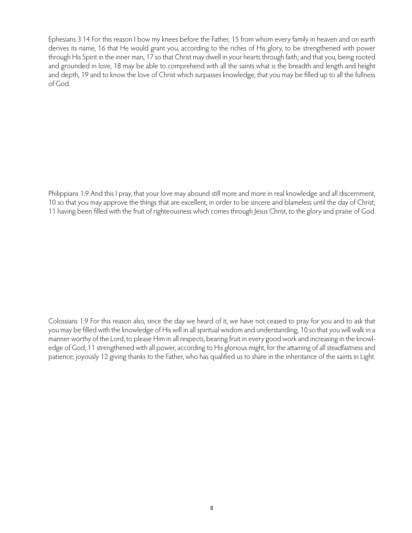Ephesians 3:14 For this reason I bow my knees before the Father, 15 from whom every family in heaven and on earth derives its name, 16 that He would grant you, according to the riches of His glory, to be strengthened with power through His Spirit in the inner man, 17 so that Christ may dwell in your hearts through faith; and that you, being rooted and grounded in love, 18 may be able to comprehend with all the saints what is the breadth and length and height and depth, 19 and to know the love of Christ which surpasses knowledge, that you may be filled up to all the fullness of God.

Philippians 1:9 And this I pray, that your love may abound still more and more in real knowledge and all discernment, 10 so that you may approve the things that are excellent, in order to be sincere and blameless until the day of Christ; 11 having been filled with the fruit of righteousness which comes through Jesus Christ, to the glory and praise of God.

Colossians 1:9 For this reason also, since the day we heard of it, we have not ceased to pray for you and to ask that you may be filled with the knowledge of His will in all spiritual wisdom and understanding, 10 so that you will walk in a manner worthy of the Lord, to please Him in all respects, bearing fruit in every good work and increasing in the knowledge of God; 11 strengthened with all power, according to His glorious might, for the attaining of all steadfastness and patience; joyously 12 giving thanks to the Father, who has qualified us to share in the inheritance of the saints in Light.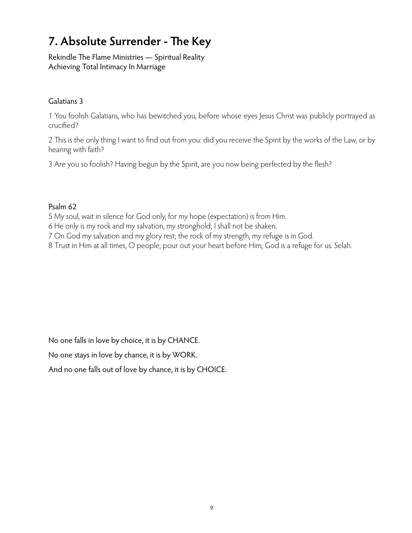# **7. Absolute Surrender - The Key**

Rekindle The Flame Ministries — Spiritual Reality Achieving Total Intimacy In Marriage

### Galatians 3

1 You foolish Galatians, who has bewitched you, before whose eyes Jesus Christ was publicly portrayed as crucified?

2 This is the only thing I want to find out from you: did you receive the Spirit by the works of the Law, or by hearing with faith?

3 Are you so foolish? Having begun by the Spirit, are you now being perfected by the flesh?

### Psalm 62

5 My soul, wait in silence for God only, for my hope (expectation) is from Him.

- 6 He only is my rock and my salvation, my stronghold; I shall not be shaken.
- 7 On God my salvation and my glory rest; the rock of my strength, my refuge is in God.

8 Trust in Him at all times, O people; pour out your heart before Him; God is a refuge for us. Selah.

No one falls in love by choice, it is by CHANCE.

No one stays in love by chance, it is by WORK.

And no one falls out of love by chance, it is by CHOICE.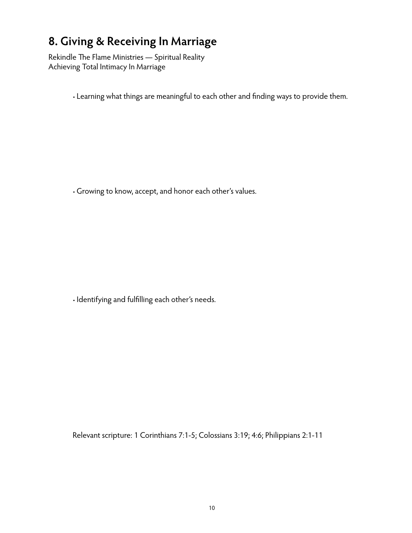### **8. Giving & Receiving In Marriage**

Rekindle The Flame Ministries — Spiritual Reality Achieving Total Intimacy In Marriage

• Learning what things are meaningful to each other and finding ways to provide them.

• Growing to know, accept, and honor each other's values.

• Identifying and fulfilling each other's needs.

Relevant scripture: 1 Corinthians 7:1-5; Colossians 3:19; 4:6; Philippians 2:1-11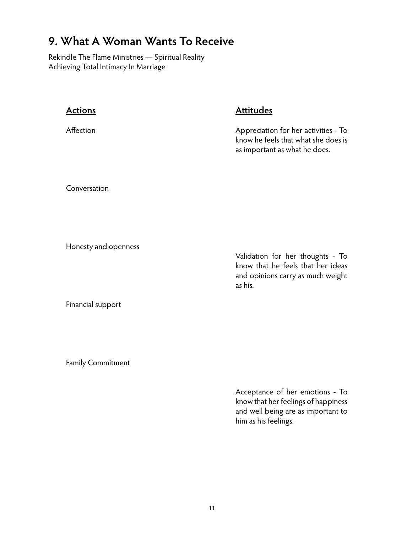## **9. What A Woman Wants To Receive**

Rekindle The Flame Ministries — Spiritual Reality Achieving Total Intimacy In Marriage

| <b>Actions</b>       | <b>Attitudes</b>                                                                                                      |
|----------------------|-----------------------------------------------------------------------------------------------------------------------|
| Affection            | Appreciation for her activities - To<br>know he feels that what she does is<br>as important as what he does.          |
| Conversation         |                                                                                                                       |
| Honesty and openness | Validation for her thoughts - To<br>know that he feels that her ideas<br>and opinions carry as much weight<br>as his. |

Financial support

Family Commitment

Acceptance of her emotions - To know that her feelings of happiness and well being are as important to him as his feelings.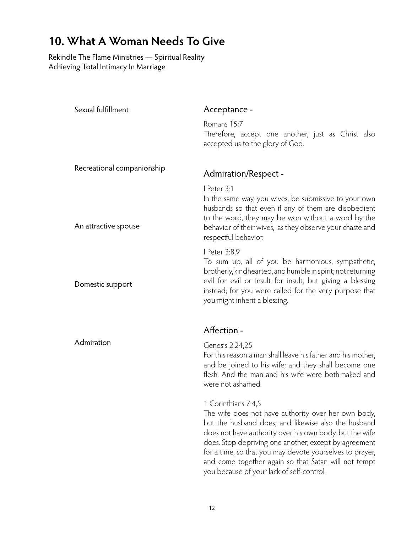# **10. What A Woman Needs To Give**

Rekindle The Flame Ministries — Spiritual Reality Achieving Total Intimacy In Marriage

| Sexual fulfillment         | Acceptance -                                                                                                                                                                                                                                                                                                                                                                                                           |
|----------------------------|------------------------------------------------------------------------------------------------------------------------------------------------------------------------------------------------------------------------------------------------------------------------------------------------------------------------------------------------------------------------------------------------------------------------|
|                            | Romans 15:7<br>Therefore, accept one another, just as Christ also<br>accepted us to the glory of God.                                                                                                                                                                                                                                                                                                                  |
| Recreational companionship | Admiration/Respect -                                                                                                                                                                                                                                                                                                                                                                                                   |
| An attractive spouse       | I Peter 3:1<br>In the same way, you wives, be submissive to your own<br>husbands so that even if any of them are disobedient<br>to the word, they may be won without a word by the<br>behavior of their wives, as they observe your chaste and<br>respectful behavior.                                                                                                                                                 |
| Domestic support           | I Peter 3:8,9<br>To sum up, all of you be harmonious, sympathetic,<br>brotherly, kindhearted, and humble in spirit; not returning<br>evil for evil or insult for insult, but giving a blessing<br>instead; for you were called for the very purpose that<br>you might inherit a blessing.                                                                                                                              |
|                            | Affection -                                                                                                                                                                                                                                                                                                                                                                                                            |
| Admiration                 | Genesis 2:24,25<br>For this reason a man shall leave his father and his mother,<br>and be joined to his wife; and they shall become one<br>flesh. And the man and his wife were both naked and<br>were not ashamed.                                                                                                                                                                                                    |
|                            | 1 Corinthians 7:4,5<br>The wife does not have authority over her own body,<br>but the husband does; and likewise also the husband<br>does not have authority over his own body, but the wife<br>does. Stop depriving one another, except by agreement<br>for a time, so that you may devote yourselves to prayer,<br>and come together again so that Satan will not tempt<br>you because of your lack of self-control. |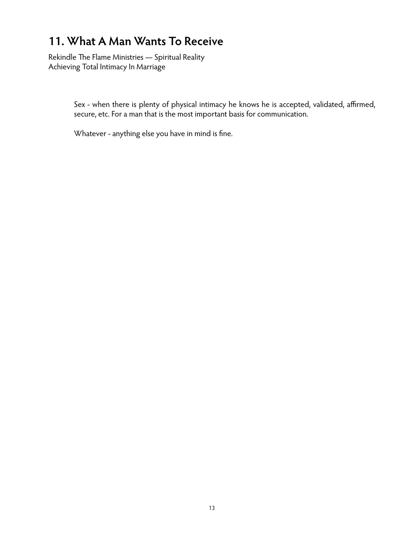## **11. What A Man Wants To Receive**

Rekindle The Flame Ministries — Spiritual Reality Achieving Total Intimacy In Marriage

> Sex - when there is plenty of physical intimacy he knows he is accepted, validated, affirmed, secure, etc. For a man that is the most important basis for communication.

Whatever - anything else you have in mind is fine.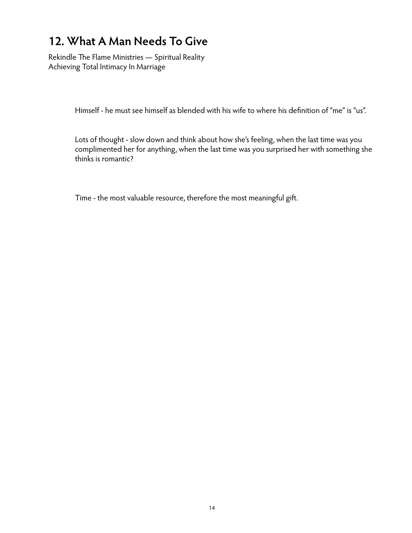# **12. What A Man Needs To Give**

Rekindle The Flame Ministries — Spiritual Reality Achieving Total Intimacy In Marriage

Himself - he must see himself as blended with his wife to where his definition of "me" is "us".

Lots of thought - slow down and think about how she's feeling, when the last time was you complimented her for anything, when the last time was you surprised her with something she thinks is romantic?

Time - the most valuable resource, therefore the most meaningful gift.